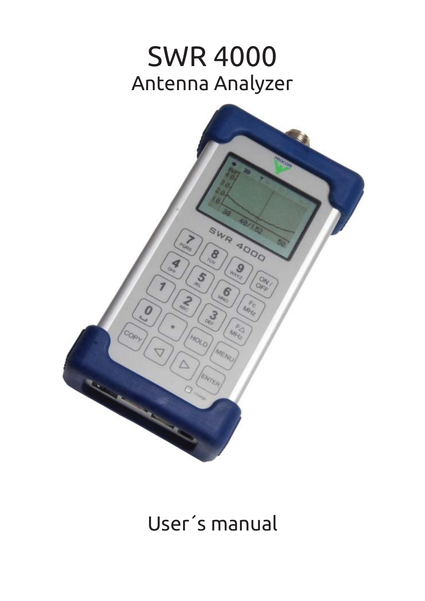# SWR 4000 Antenna Analyzer



# User´s manual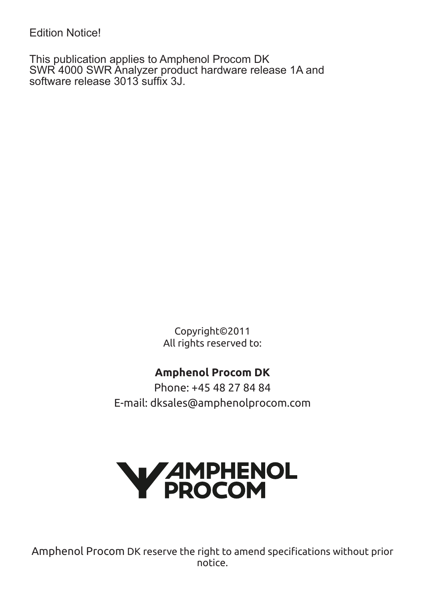Edition Notice!

This publication applies to Amphenol Procom DK SWR 4000 SWR Analyzer product hardware release 1A and software release 3013 suffix 3J.

> Copyright©2011 All rights reserved to:

### **Amphenol Procom DK**

Phone: +45 48 27 84 84 E-mail: dksales@amphenolprocom.com



Amphenol Procom DK reserve the right to amend specifications without prior notice.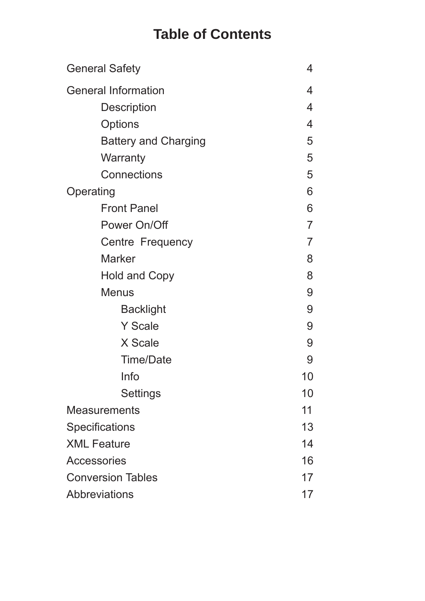# **Table of Contents**

| <b>General Safety</b>       | 4              |
|-----------------------------|----------------|
| <b>General Information</b>  | 4              |
| Description                 | 4              |
| Options                     | 4              |
| <b>Battery and Charging</b> | 5              |
| Warranty                    | 5              |
| Connections                 | 5              |
| Operating                   | 6              |
| <b>Front Panel</b>          | 6              |
| Power On/Off                | $\overline{7}$ |
| Centre Frequency            | $\overline{7}$ |
| <b>Marker</b>               | 8              |
| <b>Hold and Copy</b>        | 8              |
| <b>Menus</b>                | 9              |
| <b>Backlight</b>            | 9              |
| <b>Y</b> Scale              | 9              |
| X Scale                     | 9              |
| <b>Time/Date</b>            | 9              |
| Info                        | 10             |
| Settings                    | 10             |
| <b>Measurements</b>         | 11             |
| Specifications              | 13             |
| <b>XML Feature</b>          | 14             |
| Accessories                 | 16             |
| <b>Conversion Tables</b>    | 17             |
| Abbreviations               | 17             |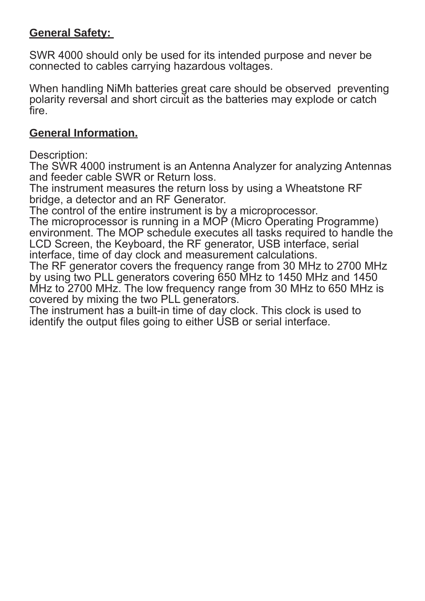#### **General Safety:**

SWR 4000 should only be used for its intended purpose and never be connected to cables carrying hazardous voltages.

When handling NiMh batteries great care should be observed preventing polarity reversal and short circuit as the batteries may explode or catch fire.

#### **General Information.**

Description:

The SWR 4000 instrument is an Antenna Analyzer for analyzing Antennas and feeder cable SWR or Return loss.

The instrument measures the return loss by using a Wheatstone RF bridge, a detector and an RF Generator.

The control of the entire instrument is by a microprocessor.

The microprocessor is running in a MOP (Micro Operating Programme) environment. The MOP schedule executes all tasks required to handle the LCD Screen, the Keyboard, the RF generator, USB interface, serial interface, time of day clock and measurement calculations.

The RF generator covers the frequency range from 30 MHz to 2700 MHz by using two PLL generators covering 650 MHz to 1450 MHz and 1450 MHz to 2700 MHz. The low frequency range from 30 MHz to 650 MHz is covered by mixing the two PLL generators.

The instrument has a built-in time of day clock. This clock is used to identify the output files going to either USB or serial interface.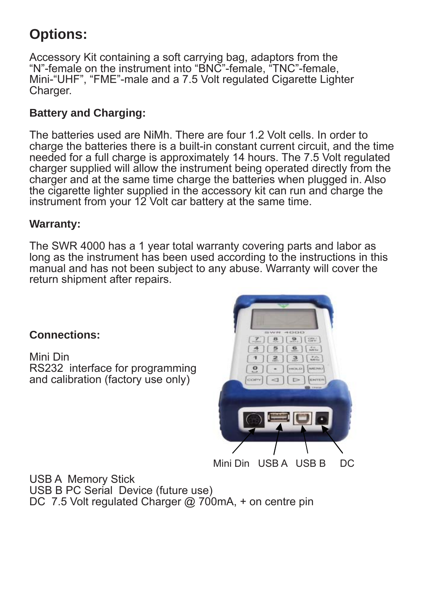# **Options:**

Accessory Kit containing a soft carrying bag, adaptors from the "N"-female on the instrument into "BNC"-female, "TNC"-female, Mini-"UHF", "FME"-male and a 7.5 Volt regulated Cigarette Lighter Charger.

#### **Battery and Charging:**

The batteries used are NiMh. There are four 1.2 Volt cells. In order to  charge the batteries there is a built-in constant current circuit, and the time needed for a full charge is approximately 14 hours. The 7.5 Volt regulated charger supplied will allow the instrument being operated directly from the charger and at the same time charge the batteries when plugged in. Also the cigarette lighter supplied in the accessory kit can run and charge the instrument from your 12 Volt car battery at the same time.

#### **Warranty:**

The SWR 4000 has a 1 year total warranty covering parts and labor as long as the instrument has been used according to the instructions in this manual and has not been subject to any abuse. Warranty will cover the return shipment after repairs.

#### **Connections:**

Mini Din RS232 interface for programming and calibration (factory use only)



Mini Din USB A USB B DC

USB A Memory Stick USB B PC Serial Device (future use) DC 7.5 Volt regulated Charger @ 700mA, + on centre pin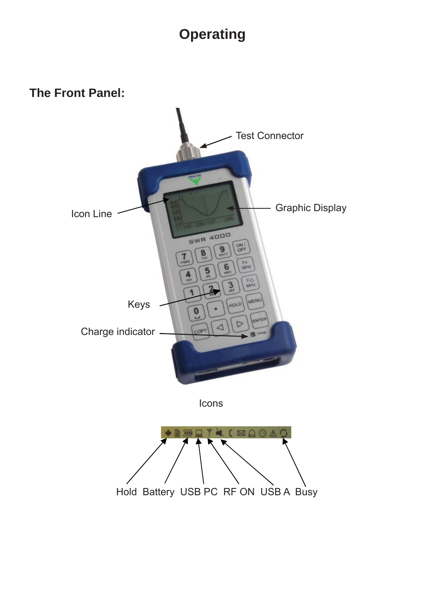## **Operating**

**The Front Panel:**

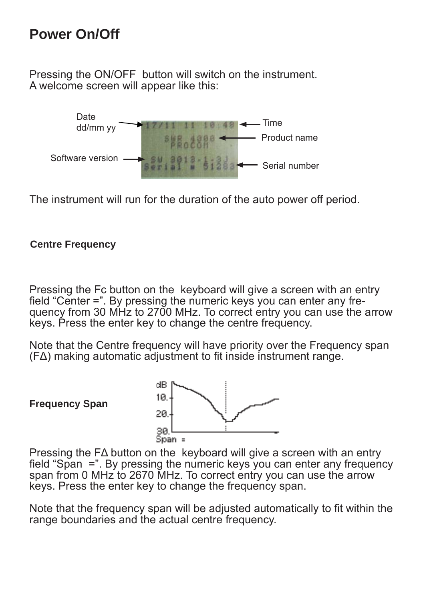### **Power On/Off**

Pressing the ON/OFF button will switch on the instrument. A welcome screen will appear like this:



The instrument will run for the duration of the auto power off period.

#### **Centre Frequency**

Pressing the Fc button on the keyboard will give a screen with an entry field "Center  $=$ ". By pressing the numeric keys you can enter any frequency from 30 MHz to 2700 MHz. To correct entry you can use the arrow keys. Press the enter key to change the centre frequency.

Note that the Centre frequency will have priority over the Frequency span  $(F\Delta)$  making automatic adjustment to fit inside instrument range.

**Frequency Span** 



Pressing the FΔ button on the keyboard will give a screen with an entry field "Span  $=$ ". By pressing the numeric keys you can enter any frequency span from 0 MHz to 2670 MHz. To correct entry you can use the arrow keys. Press the enter key to change the frequency span.

Note that the frequency span will be adjusted automatically to fit within the range boundaries and the actual centre frequency.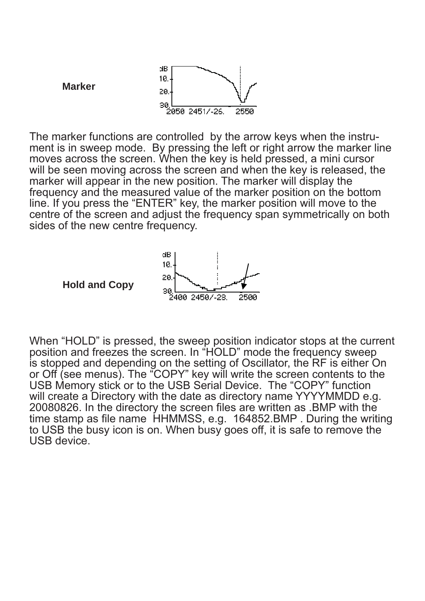

 The marker functions are controlled by the arrow keys when the instru- line. If you press the "ENTER" key, the marker position will move to the ment is in sweep mode. By pressing the left or right arrow the marker line moves across the screen. When the key is held pressed, a mini cursor will be seen moving across the screen and when the key is released, the marker will appear in the new position. The marker will display the frequency and the measured value of the marker position on the bottom centre of the screen and adjust the frequency span symmetrically on both sides of the new centre frequency.



When "HOLD" is pressed, the sweep position indicator stops at the current position and freezes the screen. In "HOLD" mode the frequency sweep is stopped and depending on the setting of Oscillator, the RF is either On or Off (see menus). The "COPY" key will write the screen contents to the USB Memory stick or to the USB Serial Device. The "COPY" function will create a Directory with the date as directory name YYYYMMDD e.g. 20080826. In the directory the screen files are written as .BMP with the time stamp as file name  $H$ HMMSS, e.g. 164852.BMP. During the writing to USB the busy icon is on. When busy goes off, it is safe to remove the USB device.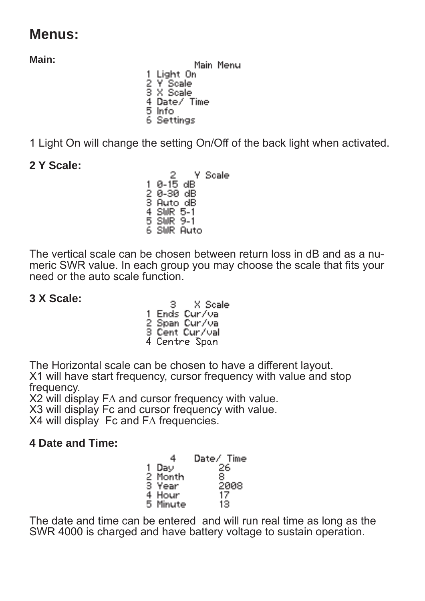### **Menus:**

**Main:** 

Main Menu 1 Light On 2 Y Scale<br>3 X Scale 4 Date/ Time 5 Info 6 Settings

1 Light On will change the setting On/Off of the back light when activated.

### **2 Y Scale:**

 $\frac{2}{9-15}$  dB Y Scale 1. 2 0-30 dB<br>3 Auto dB 4 SWR 5-1 5 SWR 9-1 6 SWR Auto

The vertical scale can be chosen between return loss in dB and as a numeric SWR value. In each group you may choose the scale that fits your need or the auto scale function.

### **3 X Scale:**

X Scale Э. 1 Ends Cur/val 2 Span Cur/va 3 Cent Cur/val 4 Centre Span

The Horizontal scale can be chosen to have a different layout. X1 will have start frequency, cursor frequency with value and stop frequency.

X2 will display F∆ and cursor frequency with value.

X3 will display Fc and cursor frequency with value.

X4 will display Fc and F∆ frequencies.

### **4 Date and Time:**

|    | 4        | Date / Time |
|----|----------|-------------|
| 1. | Day      | 26          |
|    | 2 Month  | 8           |
|    | 3 Year   | 2008        |
|    | 4 Hour   | 17          |
|    | 5 Minute | 13          |

The date and time can be entered and will run real time as long as the SWR 4000 is charged and have battery voltage to sustain operation.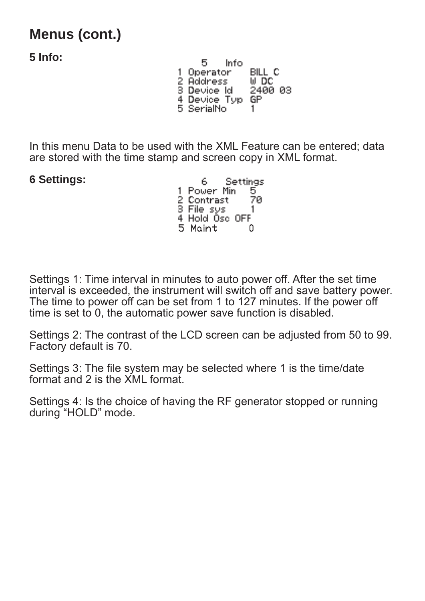## **Menus (cont.)**

**5 Info:** 

 $5 - inf<sub>0</sub>$ 1 Operator BILL C 2 Address<br>3 Device Id U DC 2400 03 4 Device Typ GP 5 SerialNo 1.

In this menu Data to be used with the XML Feature can be entered; data are stored with the time stamp and screen copy in XML format.

**6 Settings:** 

6. **Settings** 1 Power Min 5. 2 Contrast<br>3 File sys ŽЙ 1. 4 Hold Osc OFF 5 Maint 0

Settings 1: Time interval in minutes to auto power off. After the set time interval is exceeded, the instrument will switch off and save battery power. The time to power off can be set from 1 to 127 minutes. If the power off time is set to 0, the automatic power save function is disabled.

Settings 2: The contrast of the LCD screen can be adjusted from 50 to 99. Factory default is 70.

Settings 3: The file system may be selected where 1 is the time/date format and 2 is the XML format.

Settings 4: Is the choice of having the RF generator stopped or running during "HOLD" mode.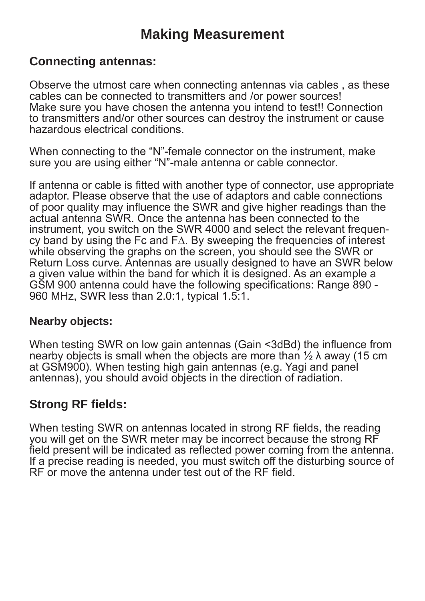### **Making Measurement**

### **Connecting antennas:**

Observe the utmost care when connecting antennas via cables , as these cables can be connected to transmitters and /or power sources! Make sure you have chosen the antenna you intend to test!! Connection to transmitters and/or other sources can destroy the instrument or cause hazardous electrical conditions.

When connecting to the "N"-female connector on the instrument, make sure you are using either "N"-male antenna or cable connector.

If antenna or cable is fitted with another type of connector, use appropriate adaptor. Please observe that the use of adaptors and cable connections of poor quality may influence the SWR and give higher readings than the actual antenna SWR. Once the antenna has been connected to the instrument, you switch on the SWR 4000 and select the relevant frequency band by using the Fc and F∆. By sweeping the frequencies of interest while observing the graphs on the screen, you should see the SWR or Return Loss curve. Antennas are usually designed to have an SWR below a given value within the band for which it is designed. As an example a GSM 900 antenna could have the following specifications: Range 890 -960 MHz, SWR less than 2.0:1, typical 1.5:1.

#### **Nearby objects:**

When testing SWR on low gain antennas (Gain <3dBd) the influence from nearby objects is small when the objects are more than  $\frac{1}{2} \lambda$  away (15 cm at GSM900). When testing high gain antennas (e.g. Yagi and panel antennas), you should avoid objects in the direction of radiation.

### **Strong RF fields:**

When testing SWR on antennas located in strong RF fields, the reading you will get on the SWR meter may be incorrect because the strong RF field present will be indicated as reflected power coming from the antenna. If a precise reading is needed, you must switch off the disturbing source of RF or move the antenna under test out of the RF field.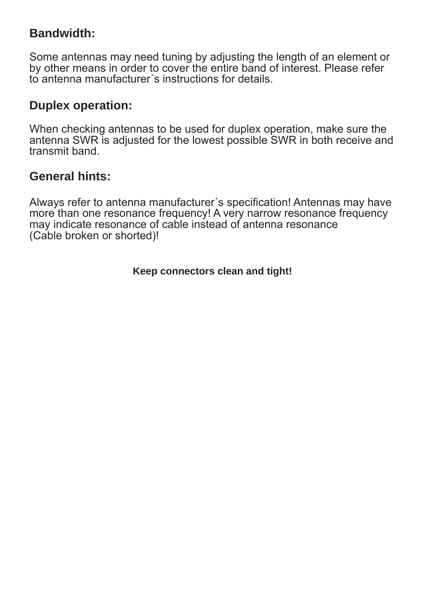### **Bandwidth:**

Some antennas may need tuning by adjusting the length of an element or by other means in order to cover the entire band of interest. Please refer to antenna manufacturer´s instructions for details.

### **Duplex operation:**

When checking antennas to be used for duplex operation, make sure the antenna SWR is adjusted for the lowest possible SWR in both receive and transmit band.

### **General hints:**

Always refer to antenna manufacturer's specification! Antennas may have more than one resonance frequency! A very narrow resonance frequency may indicate resonance of cable instead of antenna resonance (Cable broken or shorted)!

**Keep connectors clean and tight!**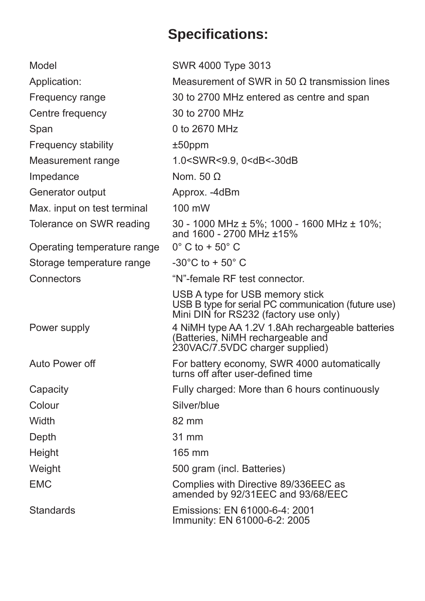# **Specifi cations:**

| Model                       | SWR 4000 Type 3013                                                                                                              |
|-----------------------------|---------------------------------------------------------------------------------------------------------------------------------|
| Application:                | Measurement of SWR in 50 $\Omega$ transmission lines                                                                            |
| Frequency range             | 30 to 2700 MHz entered as centre and span                                                                                       |
| Centre frequency            | 30 to 2700 MHz                                                                                                                  |
| Span                        | 0 to 2670 MHz                                                                                                                   |
| Frequency stability         | $±50$ ppm                                                                                                                       |
| Measurement range           | 1.0 <swr<9.9, 0<db<-30db<="" td=""></swr<9.9,>                                                                                  |
| Impedance                   | Nom. 50 $\Omega$                                                                                                                |
| Generator output            | Approx. -4dBm                                                                                                                   |
| Max. input on test terminal | 100 mW                                                                                                                          |
| Tolerance on SWR reading    | 30 - 1000 MHz ± 5%; 1000 - 1600 MHz ± 10%;<br>and 1600 - 2700 MHz ±15%                                                          |
| Operating temperature range | $0^\circ$ C to + 50 $^\circ$ C                                                                                                  |
| Storage temperature range   | $-30^{\circ}$ C to + 50 $^{\circ}$ C                                                                                            |
| Connectors                  | "N"-female RF test connector.                                                                                                   |
|                             | USB A type for USB memory stick<br>USB B type for serial PC communication (future use)<br>Mini DIN for RS232 (factory use only) |
| Power supply                | 4 NiMH type AA 1.2V 1.8Ah rechargeable batteries<br>(Batteries, NiMH rechargeable and<br>230VAC/7.5VDC charger supplied)        |
| Auto Power off              | For battery economy, SWR 4000 automatically<br>turns off after user-defined time                                                |
| Capacity                    | Fully charged: More than 6 hours continuously                                                                                   |
| Colour                      | Silver/blue                                                                                                                     |
| Width                       | 82 mm                                                                                                                           |
| Depth                       | 31 mm                                                                                                                           |
| Height                      | $165 \text{ mm}$                                                                                                                |
| Weight                      | 500 gram (incl. Batteries)                                                                                                      |
| <b>EMC</b>                  | Complies with Directive 89/336EEC as<br>amended by 92/31EEC and 93/68/EEC                                                       |
| <b>Standards</b>            | Emissions: EN 61000-6-4: 2001<br>Immunity: EN 61000-6-2: 2005                                                                   |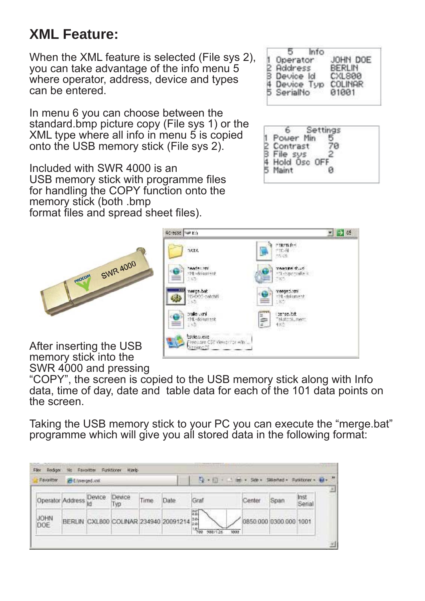## **XML Feature:**

When the XML feature is selected (File sys 2). you can take advantage of the info menu 5 where operator, address, device and types can be entered.

In menu 6 you can choose between the standard.bmp picture copy (File sys 1) or the XML type where all info in menu 5 is copied onto the USB memory stick (File sys 2).

Included with SWR 4000 is an USB memory stick with programme files for handling the COPY function onto the memory stick (both .bmp format files and spread sheet files).



After inserting the USB memory stick into the SWR 4000 and pressing



"COPY", the screen is copied to the USB memory stick along with Info data, time of day, date and table data for each of the 101 data points on the screen.

Adresse Williams

Taking the USB memory stick to your PC you can execute the "merge.bat" programme which will give you all stored data in the following format:

| <b>Eavoritor</b> | <b>BE Entrempediumi</b> |              |               |      |                                          | ◎ · 回 · 三面        |        |                        |                |  |
|------------------|-------------------------|--------------|---------------|------|------------------------------------------|-------------------|--------|------------------------|----------------|--|
| Operator Address |                         | Device<br>łd | Device<br>Тур | Time | Date                                     | Graf              | Center | Span                   | Inst<br>Serial |  |
| JOHN<br>DOE      |                         |              |               |      | BERLIN CXL800 COLINAR 234940 20091214 28 | 騗<br>唱<br>488/126 | 1000   | 0850.000 0300.000 1001 |                |  |

| Operator              | JOHN DOE                                   |
|-----------------------|--------------------------------------------|
| Address<br>Device Id  | BERLIN<br><b>SCL 800</b><br><b>COLINAR</b> |
| Device Ty<br>SerialNo | 01001                                      |

| 0.101    |  |
|----------|--|
| Contrast |  |
| azû bioH |  |
| Maint    |  |

 $\overline{v}$   $\rightarrow$  65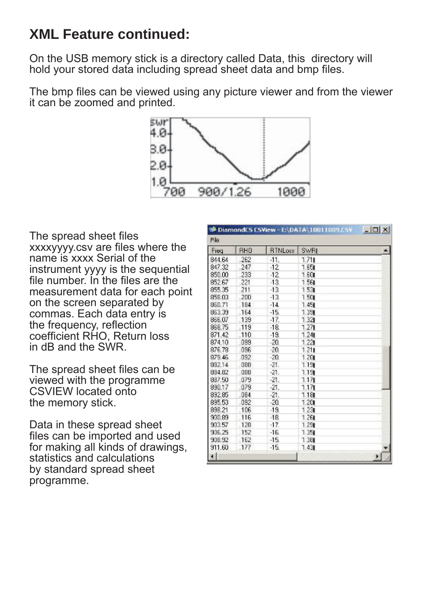### **XML Feature continued:**

On the USB memory stick is a directory called Data, this directory will hold your stored data including spread sheet data and bmp files.

The bmp files can be viewed using any picture viewer and from the viewer it can be zoomed and printed.



The spread sheet files xxxxyyyy.csv are files where the name is xxxx Serial of the instrument yyyy is the sequential file number. In the files are the measurement data for each point on the screen separated by commas. Each data entry is the frequency, reflection coefficient RHO, Return loss in dB and the SWR.

The spread sheet files can be. viewed with the programme CSVIEW located onto the memory stick.

Data in these spread sheet files can be imported and used for making all kinds of drawings, statistics and calculations by standard spread sheet programme.

| DiamondES ESView - ENDATA\10011009.ESV<br>$ \Box$ $\times$ |            |                |             |    |
|------------------------------------------------------------|------------|----------------|-------------|----|
| File                                                       |            |                |             |    |
| Freq                                                       | <b>RHO</b> | <b>RTNLoss</b> | <b>SWRI</b> |    |
| 844.64                                                     | 262        | $-11.$         | 1.711       |    |
| 847.32                                                     | .247       | $-12$          | 1.65        |    |
| 850.00                                                     | .233       | $-12$          | 1.60        |    |
| 852.67                                                     | .221       | $-13$          | 1.561       |    |
| 855.35                                                     | 211        | $-13$          | 1.53        |    |
| 858.03                                                     | .200       | $-13$          | 1.50        |    |
| 860.71                                                     | .184       | $-14.$         | 1.451       |    |
| 863.39                                                     | .164       | $-15$          | 1.39        |    |
| 866.07                                                     | .139       | $-17.$         | 1.321       |    |
| 868.75                                                     | .119       | $-18$          | 1.271       |    |
| 871.42                                                     | .110       | $-19.$         | 1.241       |    |
| 874.10                                                     | .099       | $-20.$         | 1.221       |    |
| 876.78                                                     | .096       | -20.           | 1.211       |    |
| 879.46                                                     | .092.      | $-20$          | 1.20        |    |
| 882.14                                                     | .068       | $-21.$         | 1.19        |    |
| 894.82                                                     | 088        | $-21.$         | 1.19        |    |
| 887.50                                                     | .079       | $-21.$         | 1.171       |    |
| 890.17                                                     | 1079       | .21.           | 117         |    |
| 892.85                                                     | .084       | $-21.$         | 1.181       |    |
| 895.53                                                     | .092       | $-20$          | 1.20        |    |
| 898.21                                                     | 106        | $-19$          | 1.23        |    |
| 900.89                                                     | .116       | $-18$          | 1.261       |    |
| 903.57                                                     | 128        | -17.           | 1.29        |    |
| 906.25                                                     | .152       | $-16$          | 1.35        |    |
| 908.92                                                     | .162       | $-15.$         | 1.38        |    |
| 911.60                                                     | .177       | $-15.$         | 1.43        |    |
| 31                                                         |            |                |             | Þ. |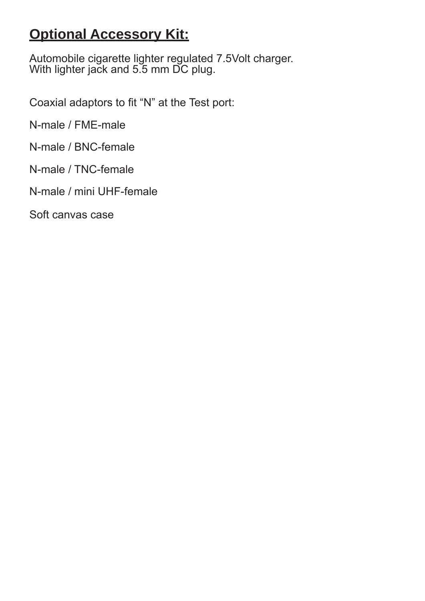### **Optional Accessory Kit:**

Automobile cigarette lighter regulated 7.5Volt charger. With lighter jack and 5.5 mm DC plug.

Coaxial adaptors to fit "N" at the Test port:

N-male / FME-male

N-male / BNC-female

N-male / TNC-female

N-male / mini UHF-female

Soft canvas case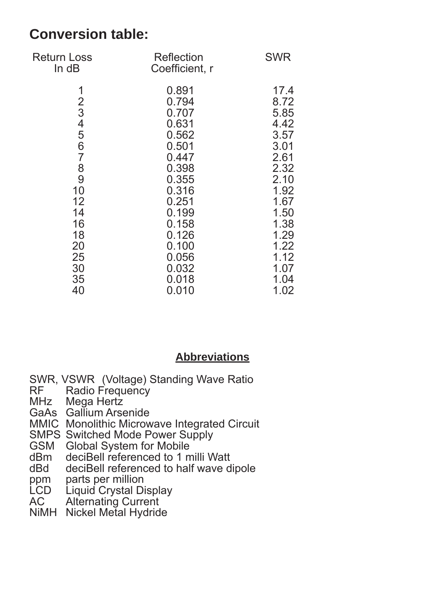### **Conversion table:**

| Return Loss<br>In dB                                                                                                           | Reflection<br>Coefficient, r                                                                                                                                            | <b>SWR</b>                                                                                                                                           |
|--------------------------------------------------------------------------------------------------------------------------------|-------------------------------------------------------------------------------------------------------------------------------------------------------------------------|------------------------------------------------------------------------------------------------------------------------------------------------------|
| 1<br>$rac{2}{3}$<br>4<br>5<br>6<br>$\overline{7}$<br>$\frac{8}{9}$<br>10<br>12<br>14<br>16<br>18<br>20<br>25<br>30<br>35<br>40 | 0.891<br>0.794<br>0.707<br>0.631<br>0.562<br>0.501<br>0.447<br>0.398<br>0.355<br>0.316<br>0.251<br>0.199<br>0.158<br>0.126<br>0.100<br>0.056<br>0.032<br>0.018<br>0.010 | 17.4<br>8.72<br>5.85<br>4.42<br>3.57<br>3.01<br>2.61<br>2.32<br>2.10<br>1.92<br>1.67<br>1.50<br>1.38<br>1.29<br>1.22<br>1.12<br>1.07<br>1.04<br>1.02 |
|                                                                                                                                |                                                                                                                                                                         |                                                                                                                                                      |

### **Abbreviations**

- SWR, VSWR (Voltage) Standing Wave Ratio<br>RF Radio Frequency
- Radio Frequency
- MHz Mega Hertz
- GaAs Gallium Arsenide
- MMIC Monolithic Microwave Integrated Circuit
- SMPS Switched Mode Power Supply
- GSM Global System for Mobile
- dBm deciBell referenced to 1 milli Watt
- dBd deciBell referenced to half wave dipole
- ppm parts per million
- LCD Liquid Crystal Display
- AC Alternating Current
- NiMH Nickel Metal Hydride